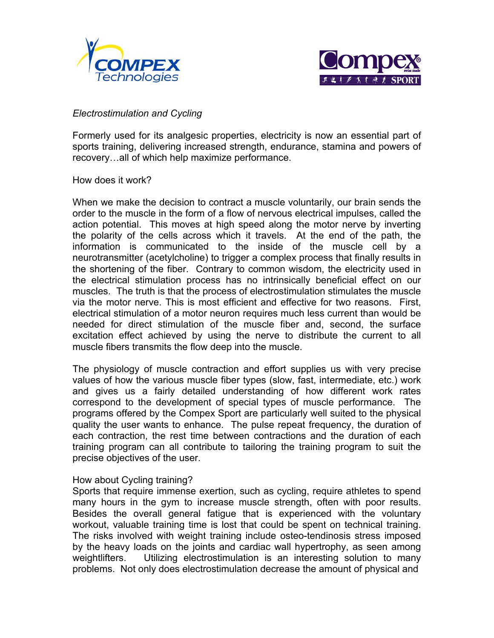



## *Electrostimulation and Cycling*

Formerly used for its analgesic properties, electricity is now an essential part of sports training, delivering increased strength, endurance, stamina and powers of recovery…all of which help maximize performance.

How does it work?

When we make the decision to contract a muscle voluntarily, our brain sends the order to the muscle in the form of a flow of nervous electrical impulses, called the action potential. This moves at high speed along the motor nerve by inverting the polarity of the cells across which it travels. At the end of the path, the information is communicated to the inside of the muscle cell by a neurotransmitter (acetylcholine) to trigger a complex process that finally results in the shortening of the fiber. Contrary to common wisdom, the electricity used in the electrical stimulation process has no intrinsically beneficial effect on our muscles. The truth is that the process of electrostimulation stimulates the muscle via the motor nerve. This is most efficient and effective for two reasons. First, electrical stimulation of a motor neuron requires much less current than would be needed for direct stimulation of the muscle fiber and, second, the surface excitation effect achieved by using the nerve to distribute the current to all muscle fibers transmits the flow deep into the muscle.

The physiology of muscle contraction and effort supplies us with very precise values of how the various muscle fiber types (slow, fast, intermediate, etc.) work and gives us a fairly detailed understanding of how different work rates correspond to the development of special types of muscle performance. The programs offered by the Compex Sport are particularly well suited to the physical quality the user wants to enhance. The pulse repeat frequency, the duration of each contraction, the rest time between contractions and the duration of each training program can all contribute to tailoring the training program to suit the precise objectives of the user.

## How about Cycling training?

Sports that require immense exertion, such as cycling, require athletes to spend many hours in the gym to increase muscle strength, often with poor results. Besides the overall general fatigue that is experienced with the voluntary workout, valuable training time is lost that could be spent on technical training. The risks involved with weight training include osteo-tendinosis stress imposed by the heavy loads on the joints and cardiac wall hypertrophy, as seen among weightlifters. Utilizing electrostimulation is an interesting solution to many problems. Not only does electrostimulation decrease the amount of physical and